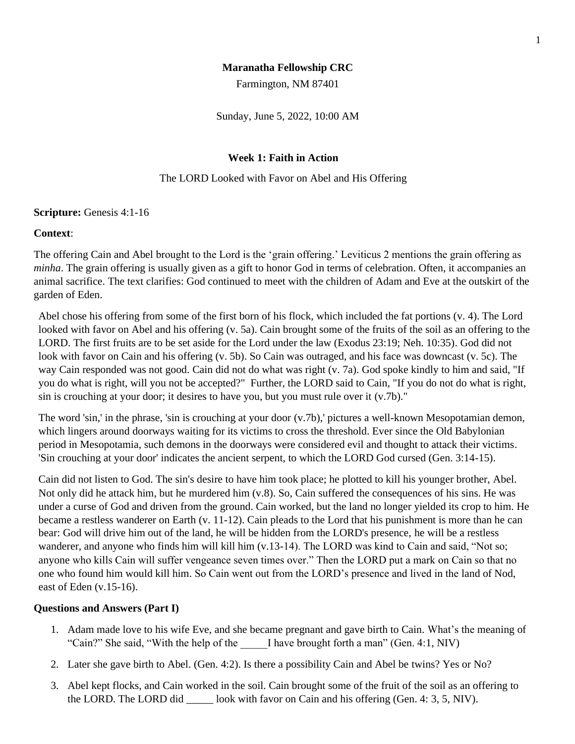# **Maranatha Fellowship CRC**

Farmington, NM 87401

Sunday, June 5, 2022, 10:00 AM

# **Week 1: Faith in Action**

### The LORD Looked with Favor on Abel and His Offering

### **Scripture:** Genesis 4:1-16

### **Context**:

The offering Cain and Abel brought to the Lord is the 'grain offering.' Leviticus 2 mentions the grain offering as *minha*. The grain offering is usually given as a gift to honor God in terms of celebration. Often, it accompanies an animal sacrifice. The text clarifies: God continued to meet with the children of Adam and Eve at the outskirt of the garden of Eden.

Abel chose his offering from some of the first born of his flock, which included the fat portions (v. 4). The Lord looked with favor on Abel and his offering (v. 5a). Cain brought some of the fruits of the soil as an offering to the LORD. The first fruits are to be set aside for the Lord under the law (Exodus 23:19; Neh. 10:35). God did not look with favor on Cain and his offering (v. 5b). So Cain was outraged, and his face was downcast (v. 5c). The way Cain responded was not good. Cain did not do what was right (v. 7a). God spoke kindly to him and said, "If you do what is right, will you not be accepted?" Further, the LORD said to Cain, "If you do not do what is right, sin is crouching at your door; it desires to have you, but you must rule over it (v.7b)."

The word 'sin,' in the phrase, 'sin is crouching at your door (v.7b),' pictures a well-known Mesopotamian demon, which lingers around doorways waiting for its victims to cross the threshold. Ever since the Old Babylonian period in Mesopotamia, such demons in the doorways were considered evil and thought to attack their victims. 'Sin crouching at your door' indicates the ancient serpent, to which the LORD God cursed (Gen. 3:14-15).

Cain did not listen to God. The sin's desire to have him took place; he plotted to kill his younger brother, Abel. Not only did he attack him, but he murdered him (v.8). So, Cain suffered the consequences of his sins. He was under a curse of God and driven from the ground. Cain worked, but the land no longer yielded its crop to him. He became a restless wanderer on Earth (v. 11-12). Cain pleads to the Lord that his punishment is more than he can bear: God will drive him out of the land, he will be hidden from the LORD's presence, he will be a restless wanderer, and anyone who finds him will kill him (v.13-14). The LORD was kind to Cain and said, "Not so; anyone who kills Cain will suffer vengeance seven times over." Then the LORD put a mark on Cain so that no one who found him would kill him. So Cain went out from the LORD's presence and lived in the land of Nod, east of Eden (v.15-16).

### **Questions and Answers (Part I)**

- 1. Adam made love to his wife Eve, and she became pregnant and gave birth to Cain. What's the meaning of "Cain?" She said, "With the help of the I have brought forth a man" (Gen. 4:1, NIV)
- 2. Later she gave birth to Abel. (Gen. 4:2). Is there a possibility Cain and Abel be twins? Yes or No?
- 3. Abel kept flocks, and Cain worked in the soil. Cain brought some of the fruit of the soil as an offering to the LORD. The LORD did look with favor on Cain and his offering (Gen. 4: 3, 5, NIV).